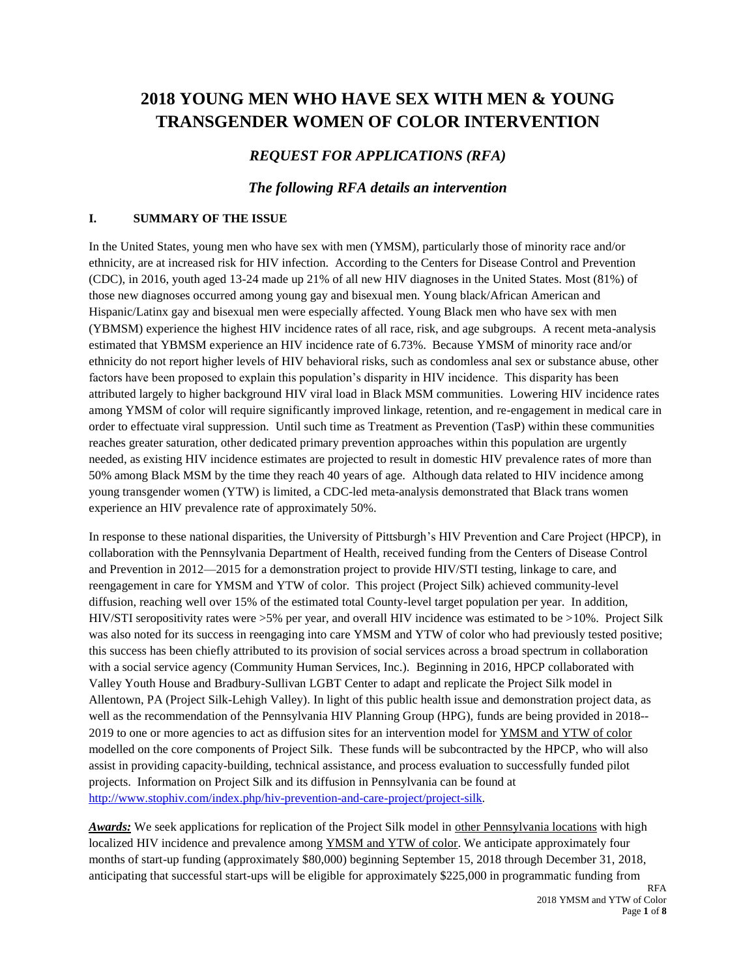# **2018 YOUNG MEN WHO HAVE SEX WITH MEN & YOUNG TRANSGENDER WOMEN OF COLOR INTERVENTION**

# *REQUEST FOR APPLICATIONS (RFA)*

## *The following RFA details an intervention*

#### **I. SUMMARY OF THE ISSUE**

In the United States, young men who have sex with men (YMSM), particularly those of minority race and/or ethnicity, are at increased risk for HIV infection. According to the Centers for Disease Control and Prevention (CDC), in 2016, youth aged 13-24 made up 21% of all new HIV diagnoses in the United States. Most (81%) of those new diagnoses occurred among young gay and bisexual men. Young black/African American and Hispanic/Latinx gay and bisexual men were especially affected. Young Black men who have sex with men (YBMSM) experience the highest HIV incidence rates of all race, risk, and age subgroups. A recent meta-analysis estimated that YBMSM experience an HIV incidence rate of 6.73%. Because YMSM of minority race and/or ethnicity do not report higher levels of HIV behavioral risks, such as condomless anal sex or substance abuse, other factors have been proposed to explain this population's disparity in HIV incidence. This disparity has been attributed largely to higher background HIV viral load in Black MSM communities. Lowering HIV incidence rates among YMSM of color will require significantly improved linkage, retention, and re-engagement in medical care in order to effectuate viral suppression. Until such time as Treatment as Prevention (TasP) within these communities reaches greater saturation, other dedicated primary prevention approaches within this population are urgently needed, as existing HIV incidence estimates are projected to result in domestic HIV prevalence rates of more than 50% among Black MSM by the time they reach 40 years of age. Although data related to HIV incidence among young transgender women (YTW) is limited, a CDC-led meta-analysis demonstrated that Black trans women experience an HIV prevalence rate of approximately 50%.

In response to these national disparities, the University of Pittsburgh's HIV Prevention and Care Project (HPCP), in collaboration with the Pennsylvania Department of Health, received funding from the Centers of Disease Control and Prevention in 2012—2015 for a demonstration project to provide HIV/STI testing, linkage to care, and reengagement in care for YMSM and YTW of color. This project (Project Silk) achieved community-level diffusion, reaching well over 15% of the estimated total County-level target population per year. In addition, HIV/STI seropositivity rates were >5% per year, and overall HIV incidence was estimated to be >10%. Project Silk was also noted for its success in reengaging into care YMSM and YTW of color who had previously tested positive; this success has been chiefly attributed to its provision of social services across a broad spectrum in collaboration with a social service agency (Community Human Services, Inc.). Beginning in 2016, HPCP collaborated with Valley Youth House and Bradbury-Sullivan LGBT Center to adapt and replicate the Project Silk model in Allentown, PA (Project Silk-Lehigh Valley). In light of this public health issue and demonstration project data, as well as the recommendation of the Pennsylvania HIV Planning Group (HPG), funds are being provided in 2018--2019 to one or more agencies to act as diffusion sites for an intervention model for YMSM and YTW of color modelled on the core components of Project Silk. These funds will be subcontracted by the HPCP, who will also assist in providing capacity-building, technical assistance, and process evaluation to successfully funded pilot projects. Information on Project Silk and its diffusion in Pennsylvania can be found at [http://www.stophiv.com/index.php/hiv-prevention-and-care-project/project-silk.](http://www.stophiv.com/index.php/hiv-prevention-and-care-project/project-silk)

*Awards:* We seek applications for replication of the Project Silk model in other Pennsylvania locations with high localized HIV incidence and prevalence among YMSM and YTW of color. We anticipate approximately four months of start-up funding (approximately \$80,000) beginning September 15, 2018 through December 31, 2018, anticipating that successful start-ups will be eligible for approximately \$225,000 in programmatic funding from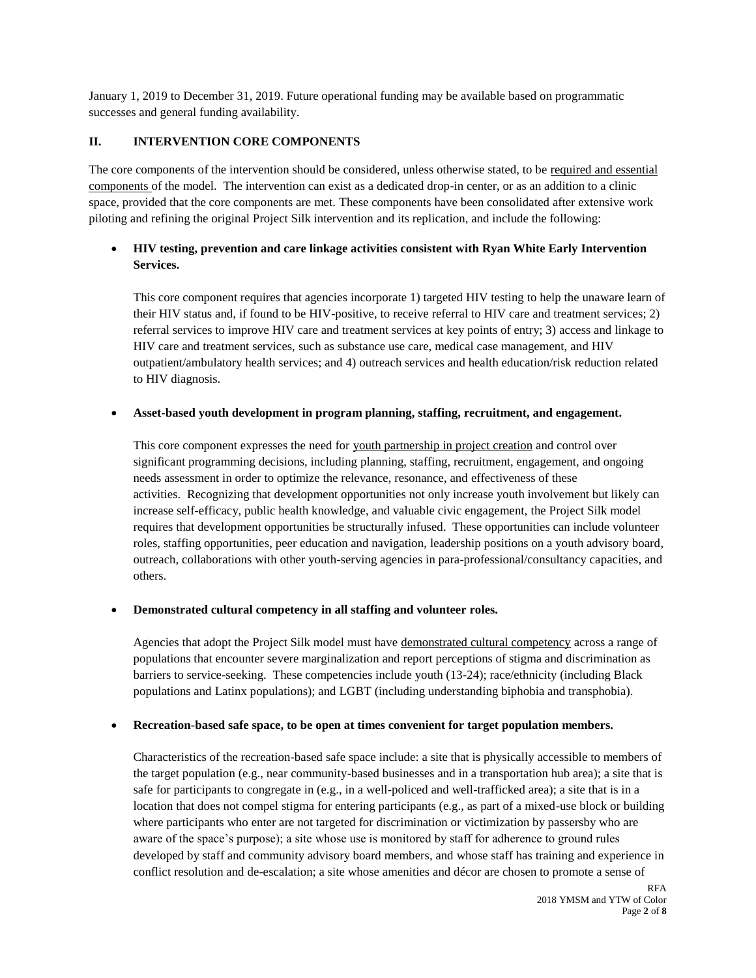January 1, 2019 to December 31, 2019. Future operational funding may be available based on programmatic successes and general funding availability.

# **II. INTERVENTION CORE COMPONENTS**

The core components of the intervention should be considered, unless otherwise stated, to be required and essential components of the model. The intervention can exist as a dedicated drop-in center, or as an addition to a clinic space, provided that the core components are met. These components have been consolidated after extensive work piloting and refining the original Project Silk intervention and its replication, and include the following:

# **HIV testing, prevention and care linkage activities consistent with Ryan White Early Intervention Services.**

This core component requires that agencies incorporate 1) targeted HIV testing to help the unaware learn of their HIV status and, if found to be HIV-positive, to receive referral to HIV care and treatment services; 2) referral services to improve HIV care and treatment services at key points of entry; 3) access and linkage to HIV care and treatment services, such as substance use care, medical case management, and HIV outpatient/ambulatory health services; and 4) outreach services and health education/risk reduction related to HIV diagnosis.

# **Asset-based youth development in program planning, staffing, recruitment, and engagement.**

This core component expresses the need for youth partnership in project creation and control over significant programming decisions, including planning, staffing, recruitment, engagement, and ongoing needs assessment in order to optimize the relevance, resonance, and effectiveness of these activities. Recognizing that development opportunities not only increase youth involvement but likely can increase self-efficacy, public health knowledge, and valuable civic engagement, the Project Silk model requires that development opportunities be structurally infused. These opportunities can include volunteer roles, staffing opportunities, peer education and navigation, leadership positions on a youth advisory board, outreach, collaborations with other youth-serving agencies in para-professional/consultancy capacities, and others.

### **Demonstrated cultural competency in all staffing and volunteer roles.**

Agencies that adopt the Project Silk model must have demonstrated cultural competency across a range of populations that encounter severe marginalization and report perceptions of stigma and discrimination as barriers to service-seeking. These competencies include youth (13-24); race/ethnicity (including Black populations and Latinx populations); and LGBT (including understanding biphobia and transphobia).

### **Recreation-based safe space, to be open at times convenient for target population members.**

Characteristics of the recreation-based safe space include: a site that is physically accessible to members of the target population (e.g., near community-based businesses and in a transportation hub area); a site that is safe for participants to congregate in (e.g., in a well-policed and well-trafficked area); a site that is in a location that does not compel stigma for entering participants (e.g., as part of a mixed-use block or building where participants who enter are not targeted for discrimination or victimization by passersby who are aware of the space's purpose); a site whose use is monitored by staff for adherence to ground rules developed by staff and community advisory board members, and whose staff has training and experience in conflict resolution and de-escalation; a site whose amenities and décor are chosen to promote a sense of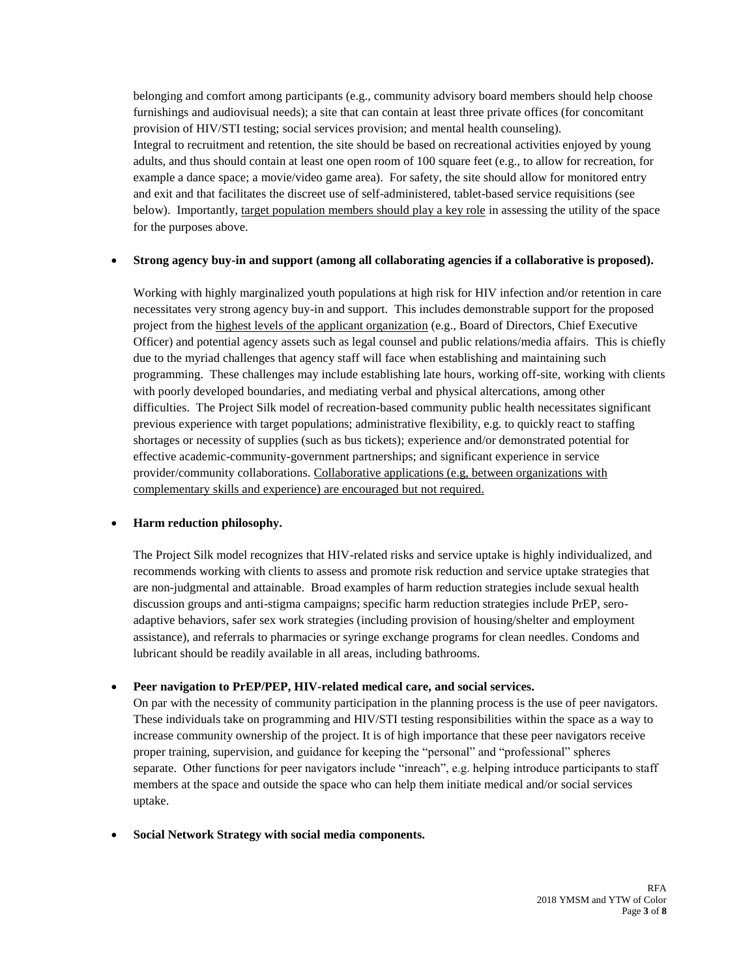belonging and comfort among participants (e.g., community advisory board members should help choose furnishings and audiovisual needs); a site that can contain at least three private offices (for concomitant provision of HIV/STI testing; social services provision; and mental health counseling). Integral to recruitment and retention, the site should be based on recreational activities enjoyed by young adults, and thus should contain at least one open room of 100 square feet (e.g., to allow for recreation, for example a dance space; a movie/video game area). For safety, the site should allow for monitored entry and exit and that facilitates the discreet use of self-administered, tablet-based service requisitions (see below). Importantly, target population members should play a key role in assessing the utility of the space for the purposes above.

### **Strong agency buy-in and support (among all collaborating agencies if a collaborative is proposed).**

Working with highly marginalized youth populations at high risk for HIV infection and/or retention in care necessitates very strong agency buy-in and support. This includes demonstrable support for the proposed project from the highest levels of the applicant organization (e.g., Board of Directors, Chief Executive Officer) and potential agency assets such as legal counsel and public relations/media affairs. This is chiefly due to the myriad challenges that agency staff will face when establishing and maintaining such programming. These challenges may include establishing late hours, working off-site, working with clients with poorly developed boundaries, and mediating verbal and physical altercations, among other difficulties. The Project Silk model of recreation-based community public health necessitates significant previous experience with target populations; administrative flexibility, e.g. to quickly react to staffing shortages or necessity of supplies (such as bus tickets); experience and/or demonstrated potential for effective academic-community-government partnerships; and significant experience in service provider/community collaborations. Collaborative applications (e.g, between organizations with complementary skills and experience) are encouraged but not required.

### **Harm reduction philosophy.**

The Project Silk model recognizes that HIV-related risks and service uptake is highly individualized, and recommends working with clients to assess and promote risk reduction and service uptake strategies that are non-judgmental and attainable. Broad examples of harm reduction strategies include sexual health discussion groups and anti-stigma campaigns; specific harm reduction strategies include PrEP, seroadaptive behaviors, safer sex work strategies (including provision of housing/shelter and employment assistance), and referrals to pharmacies or syringe exchange programs for clean needles. Condoms and lubricant should be readily available in all areas, including bathrooms.

#### **Peer navigation to PrEP/PEP, HIV-related medical care, and social services.**

On par with the necessity of community participation in the planning process is the use of peer navigators. These individuals take on programming and HIV/STI testing responsibilities within the space as a way to increase community ownership of the project. It is of high importance that these peer navigators receive proper training, supervision, and guidance for keeping the "personal" and "professional" spheres separate. Other functions for peer navigators include "inreach", e.g. helping introduce participants to staff members at the space and outside the space who can help them initiate medical and/or social services uptake.

#### **Social Network Strategy with social media components.**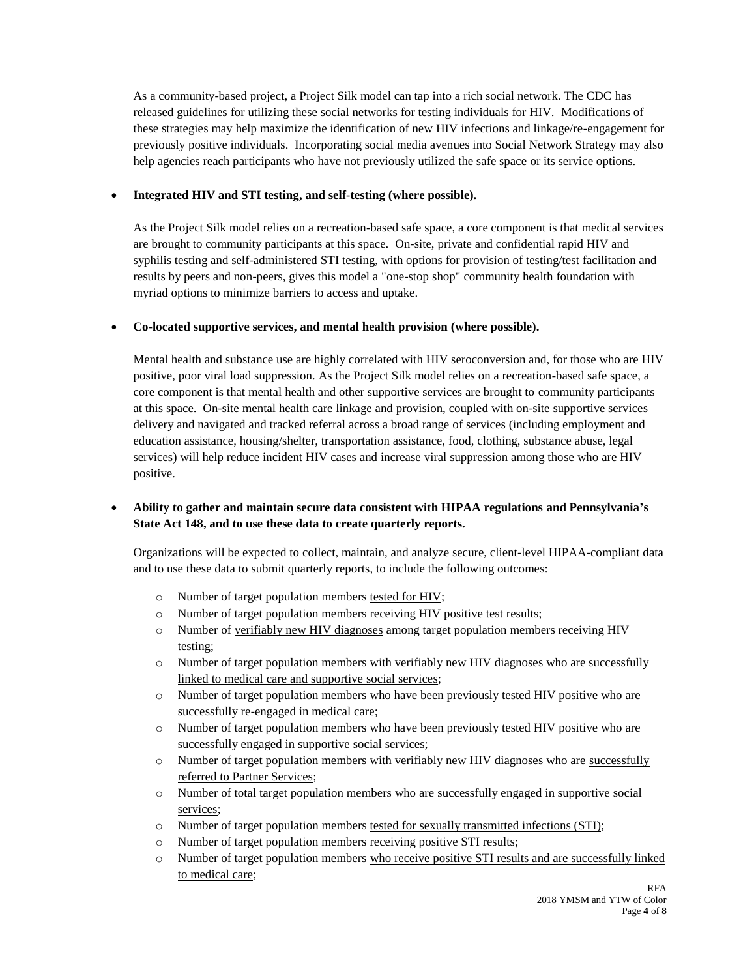As a community-based project, a Project Silk model can tap into a rich social network. The CDC has released guidelines for utilizing these social networks for testing individuals for HIV. Modifications of these strategies may help maximize the identification of new HIV infections and linkage/re-engagement for previously positive individuals. Incorporating social media avenues into Social Network Strategy may also help agencies reach participants who have not previously utilized the safe space or its service options.

## **Integrated HIV and STI testing, and self-testing (where possible).**

As the Project Silk model relies on a recreation-based safe space, a core component is that medical services are brought to community participants at this space. On-site, private and confidential rapid HIV and syphilis testing and self-administered STI testing, with options for provision of testing/test facilitation and results by peers and non-peers, gives this model a "one-stop shop" community health foundation with myriad options to minimize barriers to access and uptake.

# **Co-located supportive services, and mental health provision (where possible).**

Mental health and substance use are highly correlated with HIV seroconversion and, for those who are HIV positive, poor viral load suppression. As the Project Silk model relies on a recreation-based safe space, a core component is that mental health and other supportive services are brought to community participants at this space. On-site mental health care linkage and provision, coupled with on-site supportive services delivery and navigated and tracked referral across a broad range of services (including employment and education assistance, housing/shelter, transportation assistance, food, clothing, substance abuse, legal services) will help reduce incident HIV cases and increase viral suppression among those who are HIV positive.

# **Ability to gather and maintain secure data consistent with HIPAA regulations and Pennsylvania's State Act 148, and to use these data to create quarterly reports.**

Organizations will be expected to collect, maintain, and analyze secure, client-level HIPAA-compliant data and to use these data to submit quarterly reports, to include the following outcomes:

- o Number of target population members tested for HIV;
- o Number of target population members receiving HIV positive test results;
- o Number of verifiably new HIV diagnoses among target population members receiving HIV testing;
- o Number of target population members with verifiably new HIV diagnoses who are successfully linked to medical care and supportive social services;
- o Number of target population members who have been previously tested HIV positive who are successfully re-engaged in medical care;
- o Number of target population members who have been previously tested HIV positive who are successfully engaged in supportive social services;
- $\circ$  Number of target population members with verifiably new HIV diagnoses who are successfully referred to Partner Services;
- o Number of total target population members who are successfully engaged in supportive social services;
- o Number of target population members tested for sexually transmitted infections (STI);
- o Number of target population members receiving positive STI results;
- o Number of target population members who receive positive STI results and are successfully linked to medical care;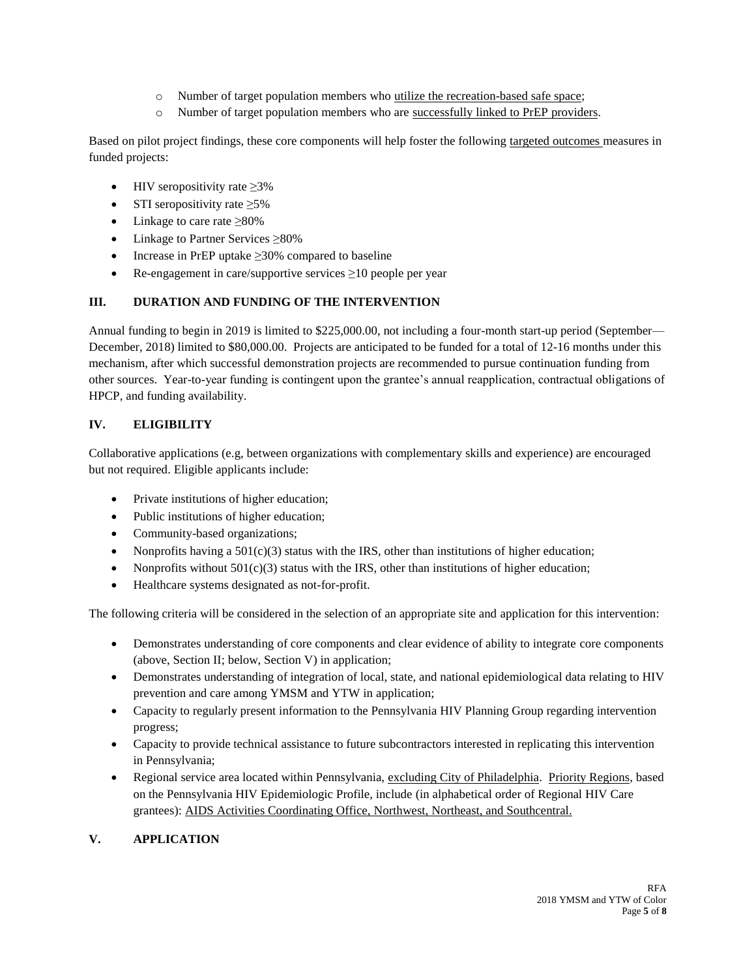- o Number of target population members who utilize the recreation-based safe space;
- o Number of target population members who are successfully linked to PrEP providers.

Based on pilot project findings, these core components will help foster the following targeted outcomes measures in funded projects:

- HIV seropositivity rate  $\geq$ 3%
- STI seropositivity rate  $\geq 5\%$
- Linkage to care rate  $\geq 80\%$
- Linkage to Partner Services ≥80%
- Increase in PrEP uptake  $\geq$ 30% compared to baseline
- Re-engagement in care/supportive services  $\geq 10$  people per year

# **III. DURATION AND FUNDING OF THE INTERVENTION**

Annual funding to begin in 2019 is limited to \$225,000.00, not including a four-month start-up period (September— December, 2018) limited to \$80,000.00. Projects are anticipated to be funded for a total of 12-16 months under this mechanism, after which successful demonstration projects are recommended to pursue continuation funding from other sources. Year-to-year funding is contingent upon the grantee's annual reapplication, contractual obligations of HPCP, and funding availability.

# **IV. ELIGIBILITY**

Collaborative applications (e.g, between organizations with complementary skills and experience) are encouraged but not required. Eligible applicants include:

- Private institutions of higher education;
- Public institutions of higher education;
- Community-based organizations;
- Nonprofits having a  $501(c)(3)$  status with the IRS, other than institutions of higher education;
- Nonprofits without  $501(c)(3)$  status with the IRS, other than institutions of higher education;
- Healthcare systems designated as not-for-profit.

The following criteria will be considered in the selection of an appropriate site and application for this intervention:

- Demonstrates understanding of core components and clear evidence of ability to integrate core components (above, Section II; below, Section V) in application;
- Demonstrates understanding of integration of local, state, and national epidemiological data relating to HIV prevention and care among YMSM and YTW in application;
- Capacity to regularly present information to the Pennsylvania HIV Planning Group regarding intervention progress;
- Capacity to provide technical assistance to future subcontractors interested in replicating this intervention in Pennsylvania;
- Regional service area located within Pennsylvania, excluding City of Philadelphia. Priority Regions, based on the Pennsylvania HIV Epidemiologic Profile, include (in alphabetical order of Regional HIV Care grantees): AIDS Activities Coordinating Office, Northwest, Northeast, and Southcentral.

# **V. APPLICATION**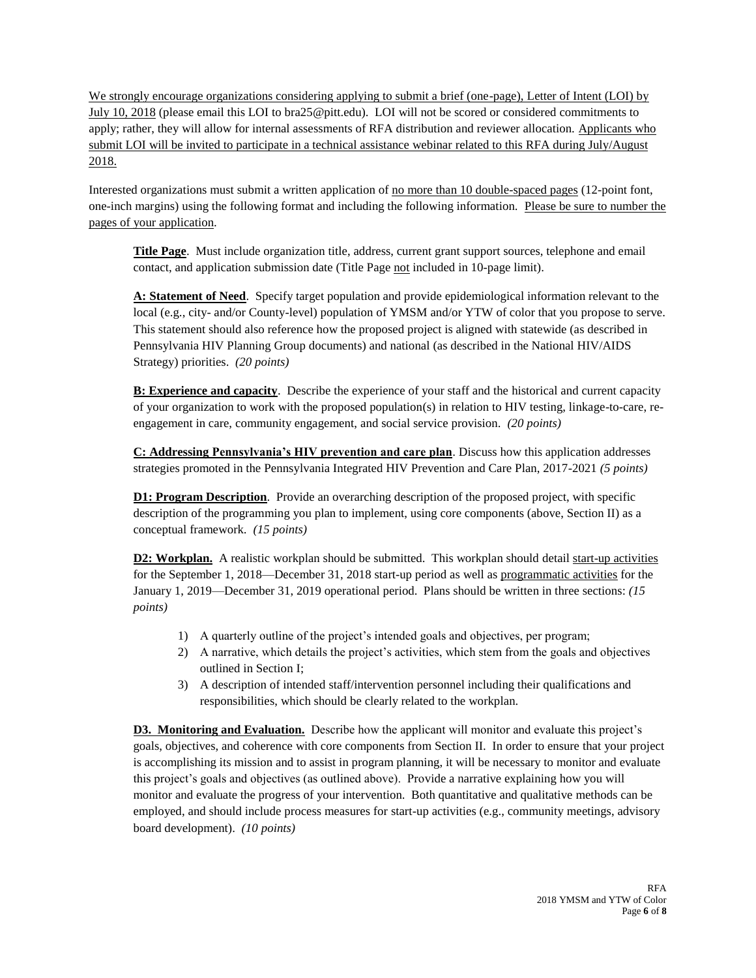We strongly encourage organizations considering applying to submit a brief (one-page), Letter of Intent (LOI) by July 10, 2018 (please email this LOI to bra25@pitt.edu). LOI will not be scored or considered commitments to apply; rather, they will allow for internal assessments of RFA distribution and reviewer allocation. Applicants who submit LOI will be invited to participate in a technical assistance webinar related to this RFA during July/August 2018.

Interested organizations must submit a written application of <u>no more than 10 double-spaced pages</u> (12-point font, one-inch margins) using the following format and including the following information. Please be sure to number the pages of your application.

**Title Page**. Must include organization title, address, current grant support sources, telephone and email contact, and application submission date (Title Page not included in 10-page limit).

**A: Statement of Need**. Specify target population and provide epidemiological information relevant to the local (e.g., city- and/or County-level) population of YMSM and/or YTW of color that you propose to serve. This statement should also reference how the proposed project is aligned with statewide (as described in Pennsylvania HIV Planning Group documents) and national (as described in the National HIV/AIDS Strategy) priorities. *(20 points)*

**B: Experience and capacity**. Describe the experience of your staff and the historical and current capacity of your organization to work with the proposed population(s) in relation to HIV testing, linkage-to-care, reengagement in care, community engagement, and social service provision. *(20 points)*

**C: Addressing Pennsylvania's HIV prevention and care plan**. Discuss how this application addresses strategies promoted in the Pennsylvania Integrated HIV Prevention and Care Plan, 2017-2021 *(5 points)*

**D1: Program Description.** Provide an overarching description of the proposed project, with specific description of the programming you plan to implement, using core components (above, Section II) as a conceptual framework. *(15 points)*

**D2: Workplan.** A realistic workplan should be submitted. This workplan should detail start-up activities for the September 1, 2018—December 31, 2018 start-up period as well as programmatic activities for the January 1, 2019—December 31, 2019 operational period. Plans should be written in three sections: *(15 points)*

- 1) A quarterly outline of the project's intended goals and objectives, per program;
- 2) A narrative, which details the project's activities, which stem from the goals and objectives outlined in Section I;
- 3) A description of intended staff/intervention personnel including their qualifications and responsibilities, which should be clearly related to the workplan.

**D3. Monitoring and Evaluation.** Describe how the applicant will monitor and evaluate this project's goals, objectives, and coherence with core components from Section II. In order to ensure that your project is accomplishing its mission and to assist in program planning, it will be necessary to monitor and evaluate this project's goals and objectives (as outlined above). Provide a narrative explaining how you will monitor and evaluate the progress of your intervention. Both quantitative and qualitative methods can be employed, and should include process measures for start-up activities (e.g., community meetings, advisory board development). *(10 points)*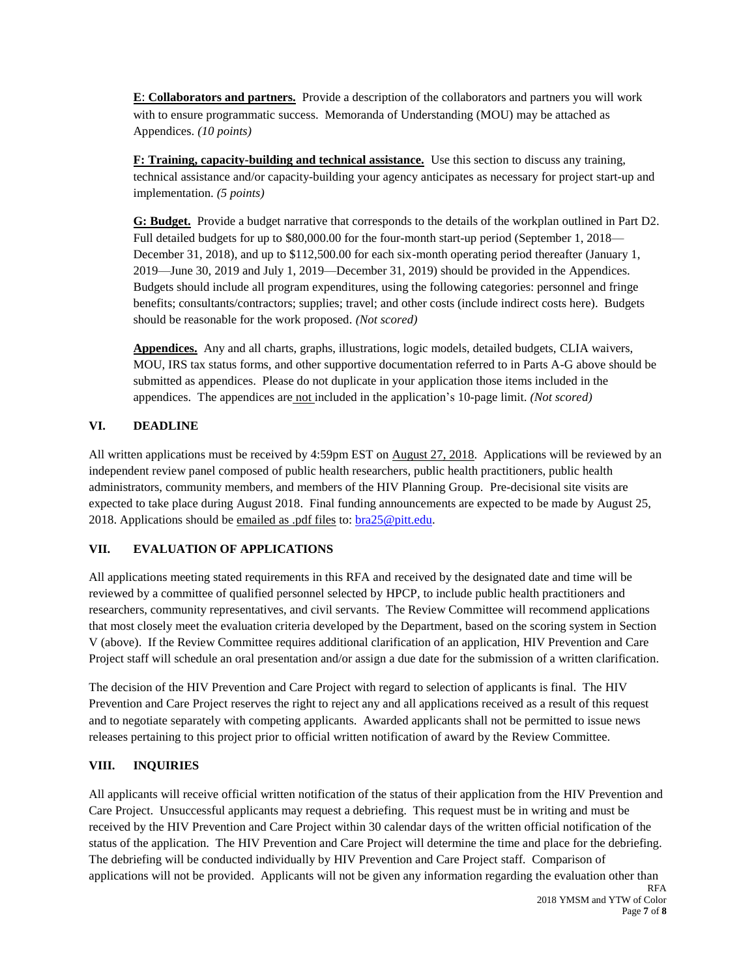**E**: **Collaborators and partners.** Provide a description of the collaborators and partners you will work with to ensure programmatic success. Memoranda of Understanding (MOU) may be attached as Appendices. *(10 points)*

**F: Training, capacity-building and technical assistance.** Use this section to discuss any training, technical assistance and/or capacity-building your agency anticipates as necessary for project start-up and implementation. *(5 points)*

**G: Budget.** Provide a budget narrative that corresponds to the details of the workplan outlined in Part D2. Full detailed budgets for up to \$80,000.00 for the four-month start-up period (September 1, 2018— December 31, 2018), and up to \$112,500.00 for each six-month operating period thereafter (January 1, 2019—June 30, 2019 and July 1, 2019—December 31, 2019) should be provided in the Appendices. Budgets should include all program expenditures, using the following categories: personnel and fringe benefits; consultants/contractors; supplies; travel; and other costs (include indirect costs here). Budgets should be reasonable for the work proposed. *(Not scored)*

**Appendices.** Any and all charts, graphs, illustrations, logic models, detailed budgets, CLIA waivers, MOU, IRS tax status forms, and other supportive documentation referred to in Parts A-G above should be submitted as appendices. Please do not duplicate in your application those items included in the appendices. The appendices are not included in the application's 10-page limit. *(Not scored)*

# **VI. DEADLINE**

All written applications must be received by 4:59pm EST on August 27, 2018. Applications will be reviewed by an independent review panel composed of public health researchers, public health practitioners, public health administrators, community members, and members of the HIV Planning Group. Pre-decisional site visits are expected to take place during August 2018. Final funding announcements are expected to be made by August 25, 2018. Applications should be emailed as .pdf files to: [bra25@pitt.edu.](mailto:bra25@pitt.edu)

### **VII. EVALUATION OF APPLICATIONS**

All applications meeting stated requirements in this RFA and received by the designated date and time will be reviewed by a committee of qualified personnel selected by HPCP, to include public health practitioners and researchers, community representatives, and civil servants. The Review Committee will recommend applications that most closely meet the evaluation criteria developed by the Department, based on the scoring system in Section V (above). If the Review Committee requires additional clarification of an application, HIV Prevention and Care Project staff will schedule an oral presentation and/or assign a due date for the submission of a written clarification.

The decision of the HIV Prevention and Care Project with regard to selection of applicants is final. The HIV Prevention and Care Project reserves the right to reject any and all applications received as a result of this request and to negotiate separately with competing applicants. Awarded applicants shall not be permitted to issue news releases pertaining to this project prior to official written notification of award by the Review Committee.

### **VIII. INQUIRIES**

All applicants will receive official written notification of the status of their application from the HIV Prevention and Care Project. Unsuccessful applicants may request a debriefing. This request must be in writing and must be received by the HIV Prevention and Care Project within 30 calendar days of the written official notification of the status of the application. The HIV Prevention and Care Project will determine the time and place for the debriefing. The debriefing will be conducted individually by HIV Prevention and Care Project staff. Comparison of applications will not be provided. Applicants will not be given any information regarding the evaluation other than